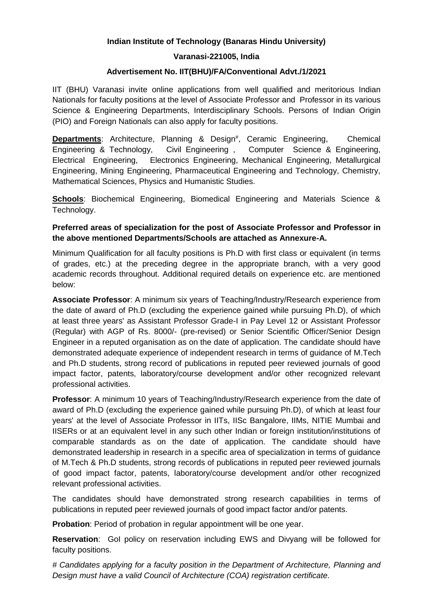# **Indian Institute of Technology (Banaras Hindu University)**

### **Varanasi-221005, India**

## **Advertisement No. IIT(BHU)/FA/Conventional Advt./1/2021**

IIT (BHU) Varanasi invite online applications from well qualified and meritorious Indian Nationals for faculty positions at the level of Associate Professor and Professor in its various Science & Engineering Departments, Interdisciplinary Schools. Persons of Indian Origin (PIO) and Foreign Nationals can also apply for faculty positions.

**Departments:** Architecture, Planning & Design<sup>#</sup>, Ceramic Engineering, Chemical Engineering & Technology, Civil Engineering , Computer Science & Engineering, Electrical Engineering, Electronics Engineering, Mechanical Engineering, Metallurgical Engineering, Mining Engineering, Pharmaceutical Engineering and Technology, Chemistry, Mathematical Sciences, Physics and Humanistic Studies.

**Schools**: Biochemical Engineering, Biomedical Engineering and Materials Science & Technology.

# **Preferred areas of specialization for the post of Associate Professor and Professor in the above mentioned Departments/Schools are attached as Annexure-A.**

Minimum Qualification for all faculty positions is Ph.D with first class or equivalent (in terms of grades, etc.) at the preceding degree in the appropriate branch, with a very good academic records throughout. Additional required details on experience etc. are mentioned below:

**Associate Professor**: A minimum six years of Teaching/Industry/Research experience from the date of award of Ph.D (excluding the experience gained while pursuing Ph.D), of which at least three years' as Assistant Professor Grade-I in Pay Level 12 or Assistant Professor (Regular) with AGP of Rs. 8000/- (pre-revised) or Senior Scientific Officer/Senior Design Engineer in a reputed organisation as on the date of application. The candidate should have demonstrated adequate experience of independent research in terms of guidance of M.Tech and Ph.D students, strong record of publications in reputed peer reviewed journals of good impact factor, patents, laboratory/course development and/or other recognized relevant professional activities.

**Professor**: A minimum 10 years of Teaching/Industry/Research experience from the date of award of Ph.D (excluding the experience gained while pursuing Ph.D), of which at least four years' at the level of Associate Professor in IITs, IISc Bangalore, IIMs, NITIE Mumbai and IISERs or at an equivalent level in any such other Indian or foreign institution/institutions of comparable standards as on the date of application. The candidate should have demonstrated leadership in research in a specific area of specialization in terms of guidance of M.Tech & Ph.D students, strong records of publications in reputed peer reviewed journals of good impact factor, patents, laboratory/course development and/or other recognized relevant professional activities.

The candidates should have demonstrated strong research capabilities in terms of publications in reputed peer reviewed journals of good impact factor and/or patents.

**Probation**: Period of probation in regular appointment will be one year.

**Reservation**: GoI policy on reservation including EWS and Divyang will be followed for faculty positions.

*# Candidates applying for a faculty position in the Department of Architecture, Planning and Design must have a valid Council of Architecture (COA) registration certificate.*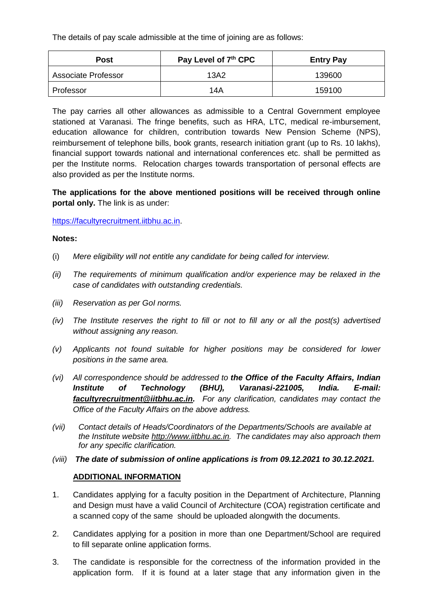The details of pay scale admissible at the time of joining are as follows:

| Post                       | Pay Level of 7th CPC | <b>Entry Pay</b> |
|----------------------------|----------------------|------------------|
| <b>Associate Professor</b> | 13A2                 | 139600           |
| Professor                  | 14A                  | 159100           |

The pay carries all other allowances as admissible to a Central Government employee stationed at Varanasi. The fringe benefits, such as HRA, LTC, medical re-imbursement, education allowance for children, contribution towards New Pension Scheme (NPS), reimbursement of telephone bills, book grants, research initiation grant (up to Rs. 10 lakhs), financial support towards national and international conferences etc. shall be permitted as per the Institute norms. Relocation charges towards transportation of personal effects are also provided as per the Institute norms.

**The applications for the above mentioned positions will be received through online portal only.** The link is as under:

[https://facultyrecruitment.iitbhu.ac.in.](https://facultyrecruitment.iitbhu.ac.in/)

#### **Notes:**

- (i) *Mere eligibility will not entitle any candidate for being called for interview.*
- *(ii) The requirements of minimum qualification and/or experience may be relaxed in the case of candidates with outstanding credentials.*
- *(iii) Reservation as per GoI norms.*
- *(iv) The Institute reserves the right to fill or not to fill any or all the post(s) advertised without assigning any reason.*
- *(v) Applicants not found suitable for higher positions may be considered for lower positions in the same area.*
- *(vi) All correspondence should be addressed to the Office of the Faculty Affairs, Indian Institute of Technology (BHU), Varanasi-221005, India. E-mail: [facultyrecruitment@iitbhu.ac.in.](mailto:facultyrecruitment@iitbhu.ac.in) For any clarification, candidates may contact the Office of the Faculty Affairs on the above address.*
- *(vii) Contact details of Heads/Coordinators of the Departments/Schools are available at the Institute website [http://www.iitbhu.ac.in.](http://www.iitbhu.ac.in/) The candidates may also approach them for any specific clarification.*
- *(viii) The date of submission of online applications is from 09.12.2021 to 30.12.2021.*

### **ADDITIONAL INFORMATION**

- 1. Candidates applying for a faculty position in the Department of Architecture, Planning and Design must have a valid Council of Architecture (COA) registration certificate and a scanned copy of the same should be uploaded alongwith the documents.
- 2. Candidates applying for a position in more than one Department/School are required to fill separate online application forms.
- 3. The candidate is responsible for the correctness of the information provided in the application form. If it is found at a later stage that any information given in the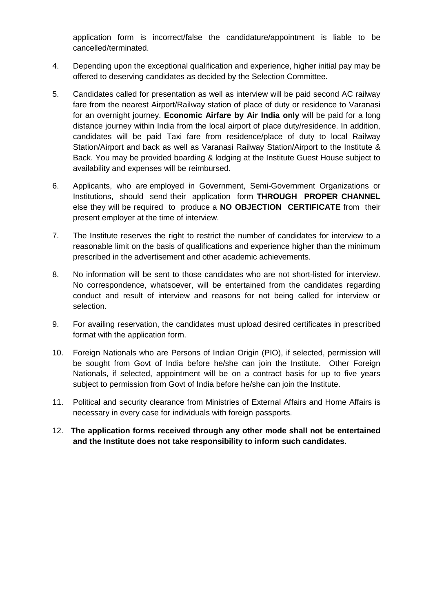application form is incorrect/false the candidature/appointment is liable to be cancelled/terminated.

- 4. Depending upon the exceptional qualification and experience, higher initial pay may be offered to deserving candidates as decided by the Selection Committee.
- 5. Candidates called for presentation as well as interview will be paid second AC railway fare from the nearest Airport/Railway station of place of duty or residence to Varanasi for an overnight journey. **Economic Airfare by Air India only** will be paid for a long distance journey within India from the local airport of place duty/residence. In addition, candidates will be paid Taxi fare from residence/place of duty to local Railway Station/Airport and back as well as Varanasi Railway Station/Airport to the Institute & Back. You may be provided boarding & lodging at the Institute Guest House subject to availability and expenses will be reimbursed.
- 6. Applicants, who are employed in Government, Semi-Government Organizations or Institutions, should send their application form **THROUGH PROPER CHANNEL** else they will be required to produce a **NO OBJECTION CERTIFICATE** from their present employer at the time of interview.
- 7. The Institute reserves the right to restrict the number of candidates for interview to a reasonable limit on the basis of qualifications and experience higher than the minimum prescribed in the advertisement and other academic achievements.
- 8. No information will be sent to those candidates who are not short-listed for interview. No correspondence, whatsoever, will be entertained from the candidates regarding conduct and result of interview and reasons for not being called for interview or selection.
- 9. For availing reservation, the candidates must upload desired certificates in prescribed format with the application form.
- 10. Foreign Nationals who are Persons of Indian Origin (PIO), if selected, permission will be sought from Govt of India before he/she can join the Institute. Other Foreign Nationals, if selected, appointment will be on a contract basis for up to five years subject to permission from Govt of India before he/she can join the Institute.
- 11. Political and security clearance from Ministries of External Affairs and Home Affairs is necessary in every case for individuals with foreign passports.
- 12. **The application forms received through any other mode shall not be entertained and the Institute does not take responsibility to inform such candidates.**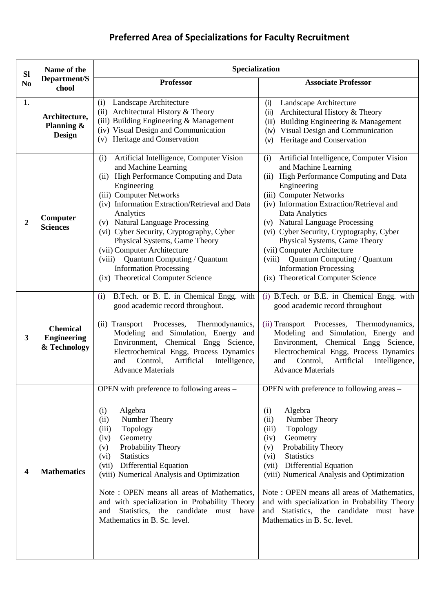# **Preferred Area of Specializations for Faculty Recruitment**

| <b>Sl</b>      | Name of the                                           | Specialization                                                                                                                                                                                                                                                                                                                                                                                                                                                                          |                                                                                                                                                                                                                                                                                                                                                                                                                                                                                         |  |
|----------------|-------------------------------------------------------|-----------------------------------------------------------------------------------------------------------------------------------------------------------------------------------------------------------------------------------------------------------------------------------------------------------------------------------------------------------------------------------------------------------------------------------------------------------------------------------------|-----------------------------------------------------------------------------------------------------------------------------------------------------------------------------------------------------------------------------------------------------------------------------------------------------------------------------------------------------------------------------------------------------------------------------------------------------------------------------------------|--|
| N <sub>0</sub> | Department/S<br>chool                                 | <b>Professor</b>                                                                                                                                                                                                                                                                                                                                                                                                                                                                        | <b>Associate Professor</b>                                                                                                                                                                                                                                                                                                                                                                                                                                                              |  |
| 1.             | Architecture,<br>Planning &<br><b>Design</b>          | (i) Landscape Architecture<br>(ii) Architectural History & Theory<br>(iii) Building Engineering & Management<br>(iv) Visual Design and Communication<br>(v) Heritage and Conservation                                                                                                                                                                                                                                                                                                   | Landscape Architecture<br>(i)<br>Architectural History & Theory<br>(ii)<br>Building Engineering & Management<br>(iii)<br>(iv) Visual Design and Communication<br>Heritage and Conservation<br>(v)                                                                                                                                                                                                                                                                                       |  |
| 2              | Computer<br><b>Sciences</b>                           | Artificial Intelligence, Computer Vision<br>(i)<br>and Machine Learning<br>(ii) High Performance Computing and Data<br>Engineering<br>(iii) Computer Networks<br>(iv) Information Extraction/Retrieval and Data<br>Analytics<br>(v) Natural Language Processing<br>(vi) Cyber Security, Cryptography, Cyber<br>Physical Systems, Game Theory<br>(vii) Computer Architecture<br>(viii) Quantum Computing / Quantum<br><b>Information Processing</b><br>(ix) Theoretical Computer Science | Artificial Intelligence, Computer Vision<br>(i)<br>and Machine Learning<br>(ii) High Performance Computing and Data<br>Engineering<br>(iii) Computer Networks<br>(iv) Information Extraction/Retrieval and<br>Data Analytics<br>(v) Natural Language Processing<br>(vi) Cyber Security, Cryptography, Cyber<br>Physical Systems, Game Theory<br>(vii) Computer Architecture<br>(viii) Quantum Computing / Quantum<br><b>Information Processing</b><br>(ix) Theoretical Computer Science |  |
| 3              | <b>Chemical</b><br><b>Engineering</b><br>& Technology | B.Tech. or B. E. in Chemical Engg. with<br>(i)<br>good academic record throughout.<br>(ii) Transport<br>Processes,<br>Thermodynamics,<br>Modeling and Simulation, Energy and<br>Environment, Chemical Engg Science,<br>Electrochemical Engg, Process Dynamics<br>Control,<br>Artificial<br>Intelligence,<br>and<br><b>Advance Materials</b>                                                                                                                                             | (i) B.Tech. or B.E. in Chemical Engg. with<br>good academic record throughout<br>(ii) Transport Processes, Thermodynamics,<br>Modeling and Simulation, Energy and<br>Environment, Chemical Engg Science,<br>Electrochemical Engg, Process Dynamics<br>Artificial<br>Intelligence,<br>Control,<br>and<br><b>Advance Materials</b>                                                                                                                                                        |  |
| 4              | <b>Mathematics</b>                                    | OPEN with preference to following areas –<br>Algebra<br>(i)<br>(ii)<br>Number Theory<br>Topology<br>(iii)<br>Geometry<br>(iv)<br>Probability Theory<br>(v)<br>(vi)<br><b>Statistics</b><br>Differential Equation<br>(vii)<br>(viii) Numerical Analysis and Optimization<br>Note: OPEN means all areas of Mathematics,<br>and with specialization in Probability Theory<br>Statistics, the candidate must have<br>and<br>Mathematics in B. Sc. level.                                    | OPEN with preference to following areas –<br>(i)<br>Algebra<br>Number Theory<br>(ii)<br>Topology<br>(iii)<br>Geometry<br>(iv)<br>Probability Theory<br>(v)<br><b>Statistics</b><br>(vi)<br><b>Differential Equation</b><br>(vii)<br>(viii) Numerical Analysis and Optimization<br>Note: OPEN means all areas of Mathematics,<br>and with specialization in Probability Theory<br>and Statistics, the candidate must have<br>Mathematics in B. Sc. level.                                |  |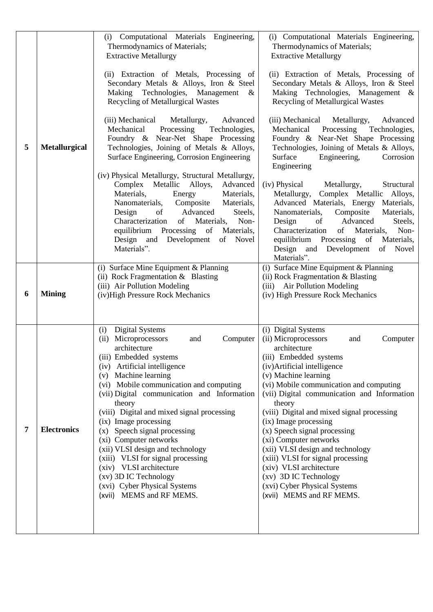|   |                      | (i) Computational Materials Engineering,                                              | (i) Computational Materials Engineering,                                                   |
|---|----------------------|---------------------------------------------------------------------------------------|--------------------------------------------------------------------------------------------|
|   |                      | Thermodynamics of Materials;<br><b>Extractive Metallurgy</b>                          | Thermodynamics of Materials;<br><b>Extractive Metallurgy</b>                               |
|   |                      |                                                                                       |                                                                                            |
|   |                      | (ii) Extraction of Metals, Processing of                                              | (ii) Extraction of Metals, Processing of                                                   |
|   |                      | Secondary Metals & Alloys, Iron & Steel<br>Making Technologies, Management            | Secondary Metals & Alloys, Iron & Steel<br>Making Technologies, Management &               |
|   |                      | &<br><b>Recycling of Metallurgical Wastes</b>                                         | Recycling of Metallurgical Wastes                                                          |
|   |                      |                                                                                       |                                                                                            |
|   |                      | (iii) Mechanical<br>Metallurgy,<br>Advanced<br>Mechanical Processing<br>Technologies, | Advanced<br>(iii) Mechanical Metallurgy,<br>Mechanical Processing Technologies,            |
|   |                      | Foundry & Near-Net Shape Processing                                                   | Foundry & Near-Net Shape Processing                                                        |
| 5 | <b>Metallurgical</b> | Technologies, Joining of Metals & Alloys,                                             | Technologies, Joining of Metals & Alloys,                                                  |
|   |                      | Surface Engineering, Corrosion Engineering                                            | Surface<br>Engineering,<br>Corrosion<br>Engineering                                        |
|   |                      | (iv) Physical Metallurgy, Structural Metallurgy,                                      |                                                                                            |
|   |                      | Complex Metallic Alloys,<br>Advanced                                                  | (iv) Physical Metallurgy,<br>Structural                                                    |
|   |                      | Materials,<br>Energy<br>Materials,<br>Nanomaterials, Composite<br>Materials,          | Metallurgy, Complex Metallic Alloys,<br>Advanced Materials, Energy Materials,              |
|   |                      | Design<br>of<br>Advanced<br>Steels,                                                   | Nanomaterials, Composite<br>Materials,                                                     |
|   |                      | of Materials,<br>Characterization<br>Non-                                             | Advanced<br>Steels,<br>Design<br>of                                                        |
|   |                      | equilibrium Processing of<br>Materials,<br>Design and Development<br>of<br>Novel      | Characterization<br>Materials,<br>of<br>Non-<br>equilibrium Processing<br>of<br>Materials, |
|   |                      | Materials".                                                                           | Design and Development<br>Novel<br>of                                                      |
|   |                      |                                                                                       | Materials".                                                                                |
|   |                      | (i) Surface Mine Equipment & Planning<br>(ii) Rock Fragmentation $&$ Blasting         | $\overline{(i)}$ Surface Mine Equipment & Planning<br>(ii) Rock Fragmentation & Blasting   |
|   |                      | (iii) Air Pollution Modeling                                                          | (iii) Air Pollution Modeling                                                               |
| 6 | <b>Mining</b>        | (iv)High Pressure Rock Mechanics                                                      | (iv) High Pressure Rock Mechanics                                                          |
|   |                      |                                                                                       |                                                                                            |
|   |                      | Digital Systems<br>(i)                                                                | (i) Digital Systems                                                                        |
|   |                      | Microprocessors<br>(ii)<br>Computer<br>and                                            | (ii) Microprocessors<br>and<br>Computer                                                    |
|   |                      | architecture                                                                          | architecture                                                                               |
|   |                      | (iii) Embedded systems<br>(iv) Artificial intelligence                                | (iii) Embedded systems<br>(iv) Artificial intelligence                                     |
|   |                      | (v) Machine learning                                                                  | (v) Machine learning                                                                       |
|   |                      | (vi) Mobile communication and computing                                               | (vi) Mobile communication and computing                                                    |
|   |                      | (vii) Digital communication and Information<br>theory                                 | (vii) Digital communication and Information<br>theory                                      |
|   |                      | (viii) Digital and mixed signal processing                                            | (viii) Digital and mixed signal processing                                                 |
| 7 | <b>Electronics</b>   | (ix) Image processing                                                                 | (ix) Image processing                                                                      |
|   |                      | (x) Speech signal processing<br>(xi) Computer networks                                | (x) Speech signal processing<br>(xi) Computer networks                                     |
|   |                      | (xii) VLSI design and technology                                                      | (xii) VLSI design and technology                                                           |
|   |                      | (xiii) VLSI for signal processing                                                     | (xiii) VLSI for signal processing                                                          |
|   |                      | (xiv) VLSI architecture<br>(xv) 3D IC Technology                                      | (xiv) VLSI architecture<br>(xv) 3D IC Technology                                           |
|   |                      | (xvi) Cyber Physical Systems                                                          | (xvi) Cyber Physical Systems                                                               |
|   |                      | (xvii) MEMS and RF MEMS.                                                              | (xvii) MEMS and RF MEMS.                                                                   |
|   |                      |                                                                                       |                                                                                            |
|   |                      |                                                                                       |                                                                                            |
|   |                      |                                                                                       |                                                                                            |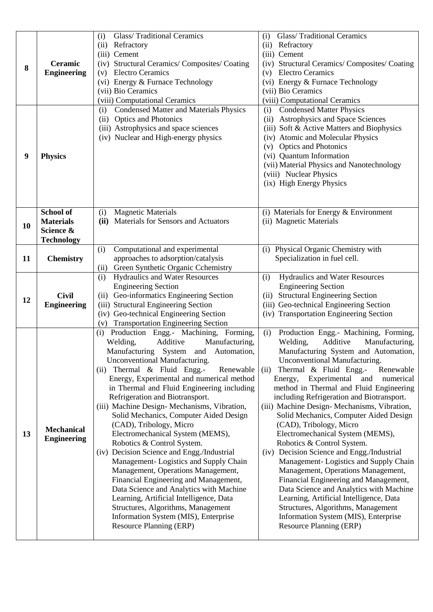|                  |                    | <b>Glass/Traditional Ceramics</b><br>(i)                                            | <b>Glass/Traditional Ceramics</b><br>(i)                                                  |
|------------------|--------------------|-------------------------------------------------------------------------------------|-------------------------------------------------------------------------------------------|
|                  |                    | (ii)<br>Refractory                                                                  | Refractory<br>(ii)                                                                        |
|                  |                    | (iii) Cement                                                                        | (iii) Cement                                                                              |
| 8                | Ceramic            | (iv) Structural Ceramics/ Composites/ Coating                                       | (iv) Structural Ceramics/Composites/Coating                                               |
|                  | <b>Engineering</b> | <b>Electro Ceramics</b><br>(v)                                                      | <b>Electro Ceramics</b><br>(v)                                                            |
|                  |                    | (vi) Energy & Furnace Technology                                                    | (vi) Energy & Furnace Technology                                                          |
|                  |                    | (vii) Bio Ceramics                                                                  | (vii) Bio Ceramics                                                                        |
|                  |                    | (viii) Computational Ceramics                                                       | (viii) Computational Ceramics                                                             |
|                  |                    | <b>Condensed Matter and Materials Physics</b><br>(i)                                | <b>Condensed Matter Physics</b><br>(i)                                                    |
|                  |                    | <b>Optics and Photonics</b><br>(ii)<br>(iii) Astrophysics and space sciences        | Astrophysics and Space Sciences<br>(ii)<br>(iii) Soft & Active Matters and Biophysics     |
|                  |                    | (iv) Nuclear and High-energy physics                                                | (iv) Atomic and Molecular Physics                                                         |
|                  |                    |                                                                                     | (v) Optics and Photonics                                                                  |
| $\boldsymbol{9}$ | <b>Physics</b>     |                                                                                     | (vi) Quantum Information                                                                  |
|                  |                    |                                                                                     | (vii) Material Physics and Nanotechnology                                                 |
|                  |                    |                                                                                     | (viii) Nuclear Physics                                                                    |
|                  |                    |                                                                                     | (ix) High Energy Physics                                                                  |
|                  |                    |                                                                                     |                                                                                           |
|                  |                    |                                                                                     |                                                                                           |
|                  | <b>School of</b>   | <b>Magnetic Materials</b><br>(i)                                                    | (i) Materials for Energy & Environment                                                    |
| 10               | <b>Materials</b>   | Materials for Sensors and Actuators<br>(ii)                                         | (ii) Magnetic Materials                                                                   |
|                  | Science &          |                                                                                     |                                                                                           |
|                  | <b>Technology</b>  |                                                                                     |                                                                                           |
|                  |                    | Computational and experimental<br>(i)                                               | Physical Organic Chemistry with<br>(i)                                                    |
| 11               | <b>Chemistry</b>   | approaches to adsorption/catalysis                                                  | Specialization in fuel cell.                                                              |
|                  |                    | Green Synthetic Organic Cchemistry<br>(ii)<br><b>Hydraulics and Water Resources</b> | Hydraulics and Water Resources                                                            |
|                  |                    | (i)<br><b>Engineering Section</b>                                                   | (i)<br><b>Engineering Section</b>                                                         |
|                  | <b>Civil</b>       | (ii) Geo-informatics Engineering Section                                            | (ii) Structural Engineering Section                                                       |
| 12               | <b>Engineering</b> | (iii) Structural Engineering Section                                                | (iii) Geo-technical Engineering Section                                                   |
|                  |                    | (iv) Geo-technical Engineering Section                                              | (iv) Transportation Engineering Section                                                   |
|                  |                    | <b>Transportation Engineering Section</b><br>(v)                                    |                                                                                           |
|                  |                    | Production Engg.- Machining, Forming,<br>(i)                                        | (i)<br>Production Engg.- Machining, Forming,                                              |
|                  |                    | Welding,<br>Additive<br>Manufacturing,                                              | Welding,<br>Additive<br>Manufacturing,                                                    |
|                  |                    | Manufacturing System and Automation,                                                | Manufacturing System and Automation,                                                      |
|                  |                    | Unconventional Manufacturing.                                                       | Unconventional Manufacturing.                                                             |
|                  |                    | (ii) Thermal & Fluid Engg.-<br>Renewable                                            | Thermal & Fluid Engg.-<br>(ii)<br>Renewable                                               |
|                  |                    | Energy, Experimental and numerical method                                           | Energy, Experimental and<br>numerical                                                     |
|                  |                    | in Thermal and Fluid Engineering including                                          | method in Thermal and Fluid Engineering                                                   |
|                  |                    | Refrigeration and Biotransport.<br>(iii) Machine Design- Mechanisms, Vibration,     | including Refrigeration and Biotransport.<br>(iii) Machine Design- Mechanisms, Vibration, |
|                  |                    | Solid Mechanics, Computer Aided Design                                              | Solid Mechanics, Computer Aided Design                                                    |
|                  |                    | (CAD), Tribology, Micro                                                             | (CAD), Tribology, Micro                                                                   |
| 13               | <b>Mechanical</b>  | Electromechanical System (MEMS),                                                    | Electromechanical System (MEMS),                                                          |
|                  | <b>Engineering</b> | Robotics & Control System.                                                          | Robotics & Control System.                                                                |
|                  |                    | (iv) Decision Science and Engg./Industrial                                          | (iv) Decision Science and Engg./Industrial                                                |
|                  |                    | Management-Logistics and Supply Chain                                               | Management-Logistics and Supply Chain                                                     |
|                  |                    | Management, Operations Management,                                                  | Management, Operations Management,                                                        |
|                  |                    | Financial Engineering and Management,                                               | Financial Engineering and Management,                                                     |
|                  |                    | Data Science and Analytics with Machine                                             | Data Science and Analytics with Machine                                                   |
|                  |                    | Learning, Artificial Intelligence, Data                                             | Learning, Artificial Intelligence, Data                                                   |
|                  |                    | Structures, Algorithms, Management                                                  | Structures, Algorithms, Management                                                        |
|                  |                    | Information System (MIS), Enterprise                                                | Information System (MIS), Enterprise                                                      |
|                  |                    | <b>Resource Planning (ERP)</b>                                                      | <b>Resource Planning (ERP)</b>                                                            |
|                  |                    |                                                                                     |                                                                                           |